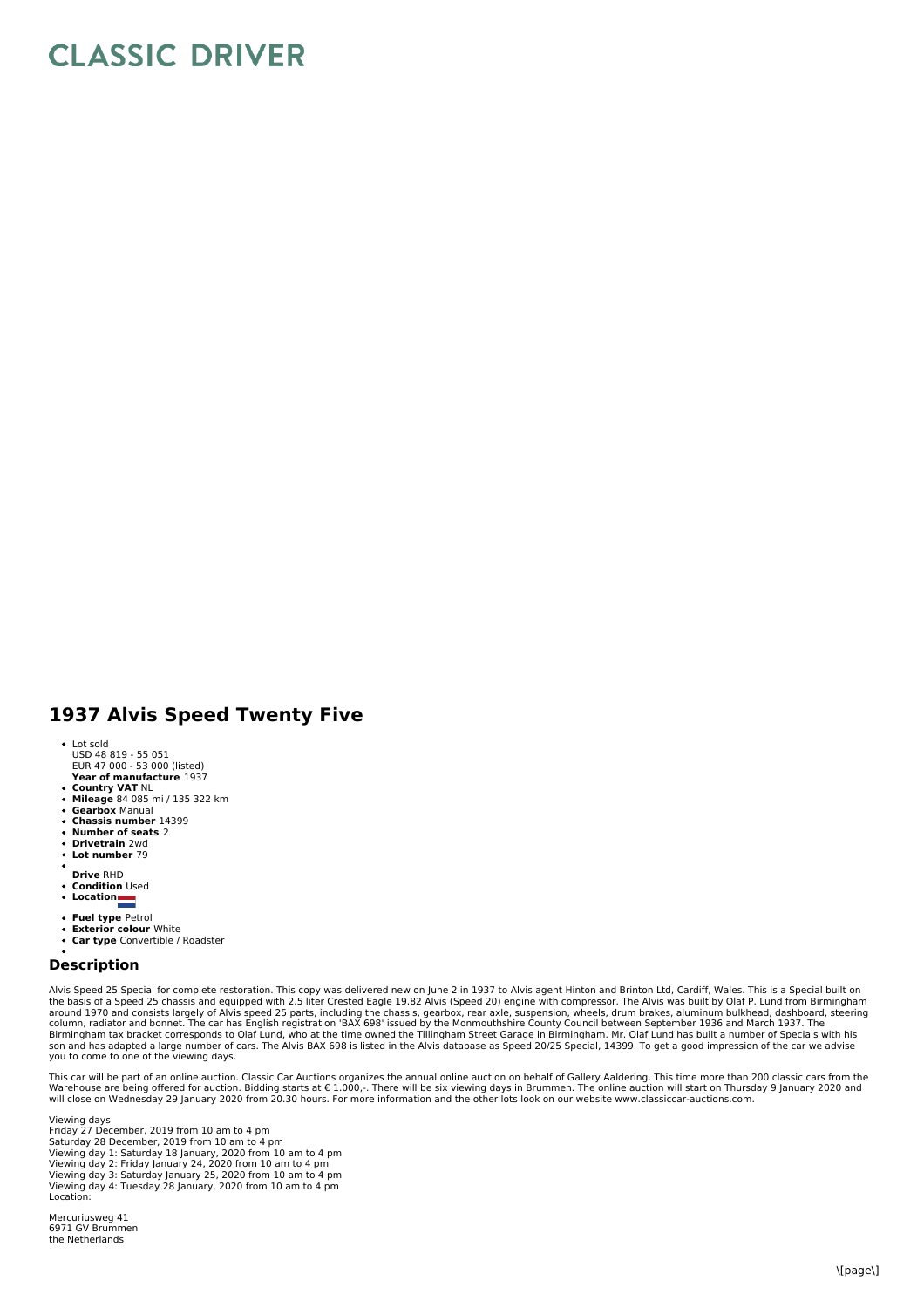## **CLASSIC DRIVER**

## **1937 Alvis Speed Twenty Five**

- Lot sold
- USD 48 819 55 051 EUR 47 000 53 000 (listed)
- **Year of manufacture** 1937
- **Country VAT** NL **Mileage** 84 085 mi / 135 322 km
- **Gearbox** Manual **Chassis number** 14399
- 
- **Number of seats** 2  $\bullet$ **Drivetrain** 2wd
- **Lot number** 79
- 
- **Drive** RHD
- **Condition** Used
- Conunum<br>• Location
- **Fuel type** Petrol
- **Exterior colour** White
- **Car type** Convertible / Roadster

## **Description**

Alvis Speed 25 Special for complete restoration. This copy was delivered new on June 2 in 1937 to Alvis agent Hinton and Brinton Ltd, Cardiff, Wales. This is a Special built on the basis of a Speed 25 chassis and equipped with 2.5 liter Crested Eagle 19.82 Alvis (Speed 20) engine with compressor. The Alvis was built by Olaf P. Lund from Birmingham<br>around 1970 and consists largely of Alvis speed 2 column, radiator and bonnet. The car has English registration 'BAX 698' issued by the Monmouthshire County Council between September 1936 and March 1937. The<br>Birmingham tax bracket corresponds to Olaf Lund, who at the time son and has adapted a large number of cars. The Alvis BAX 698 is listed in the Alvis database as Speed 20/25 Special, 14399. To get a good impression of the car we advise you to come to one of the viewing days.

This car will be part of an online auction. Classic Car Auctions organizes the annual online auction on behalf of Gallery Aaldering. This time more than 200 classic cars from the<br>Warehouse are being offered for auction. Bi

Viewing days Friday 27 December, 2019 from 10 am to 4 pm Saturday 28 December, 2019 from 10 am to 4 pm Viewing day 1: Saturday 18 January, 2020 from 10 am to 4 pm Viewing day 2: Friday January 24, 2020 from 10 am to 4 pm Viewing day 3: Saturday January 25, 2020 from 10 am to 4 pm Viewing day 4: Tuesday 28 January, 2020 from 10 am to 4 pm Location:

Mercuriusweg 41 6971 GV Brummen the Netherlands